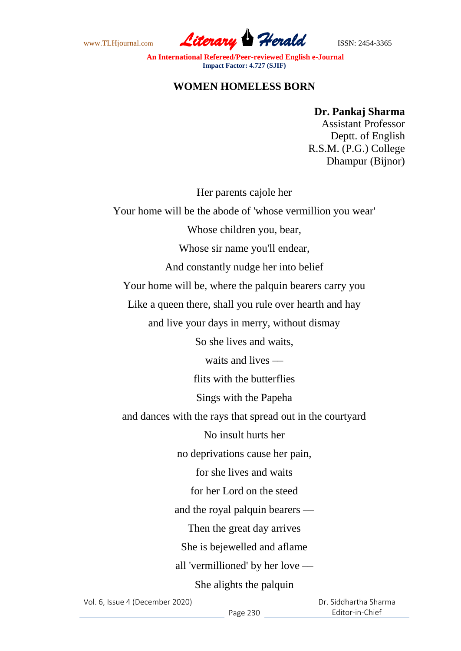www.TLHjournal.com *Literary Herald*ISSN: 2454-3365

**An International Refereed/Peer-reviewed English e-Journal Impact Factor: 4.727 (SJIF)**

## **WOMEN HOMELESS BORN**

## **Dr. Pankaj Sharma**

Assistant Professor Deptt. of English R.S.M. (P.G.) College Dhampur (Bijnor)

Her parents cajole her

Your home will be the abode of 'whose vermillion you wear'

Whose children you, bear,

Whose sir name you'll endear,

And constantly nudge her into belief

Your home will be, where the palquin bearers carry you

Like a queen there, shall you rule over hearth and hay

and live your days in merry, without dismay

So she lives and waits,

waits and lives —

flits with the butterflies

Sings with the Papeha

and dances with the rays that spread out in the courtyard

No insult hurts her

no deprivations cause her pain,

for she lives and waits

for her Lord on the steed

and the royal palquin bearers —

Then the great day arrives

She is bejewelled and aflame

all 'vermillioned' by her love ––

She alights the palquin

Vol. 6, Issue 4 (December 2020)

 Dr. Siddhartha Sharma Editor-in-Chief